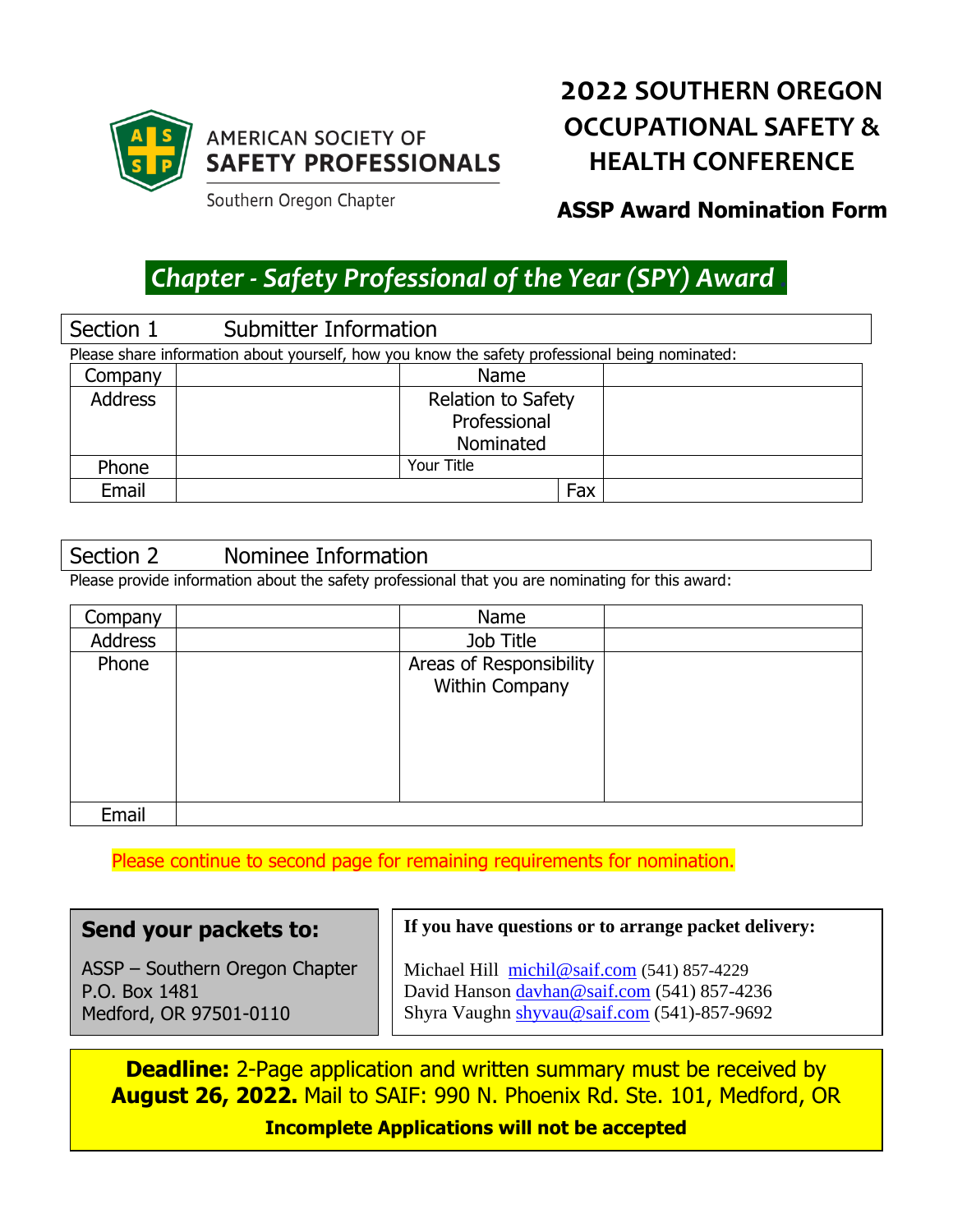

## **AMERICAN SOCIETY OF SAFETY PROFESSIONALS**

**2022 SOUTHERN OREGON OCCUPATIONAL SAFETY & HEALTH CONFERENCE**

Southern Oregon Chapter

## **ASSP Award Nomination Form**

# *Chapter - Safety Professional of the Year (SPY) Award .*

|                                                                                                | Section 1 | Submitter Information     |  |  |
|------------------------------------------------------------------------------------------------|-----------|---------------------------|--|--|
| Please share information about yourself, how you know the safety professional being nominated: |           |                           |  |  |
|                                                                                                | Company   | <b>Name</b>               |  |  |
|                                                                                                | Address   | <b>Relation to Safety</b> |  |  |
|                                                                                                |           | Professional              |  |  |
|                                                                                                |           | Nominated                 |  |  |
|                                                                                                | Phone     | Your Title                |  |  |
|                                                                                                | Email     | Fax                       |  |  |

#### Section 2 Nominee Information

Please provide information about the safety professional that you are nominating for this award:

| Company | Name                    |  |
|---------|-------------------------|--|
| Address | Job Title               |  |
| Phone   | Areas of Responsibility |  |
|         | Within Company          |  |
|         |                         |  |
|         |                         |  |
|         |                         |  |
|         |                         |  |
| Email   |                         |  |

Please continue to second page for remaining requirements for nomination.

| Send your packets to:          | If you have questions or to arrange packet delivery: |
|--------------------------------|------------------------------------------------------|
| ASSP - Southern Oregon Chapter | Michael Hill michil@saif.com (541) 857-4229          |
| P.O. Box 1481                  | David Hanson davhan@saif.com (541) 857-4236          |
| Medford, OR 97501-0110         | Shyra Vaughn shyvau@saif.com (541)-857-9692          |

**Deadline:** 2-Page application and written summary must be received by **August 26, 2022.** Mail to SAIF: 990 N. Phoenix Rd. Ste. 101, Medford, OR

**Incomplete Applications will not be accepted**